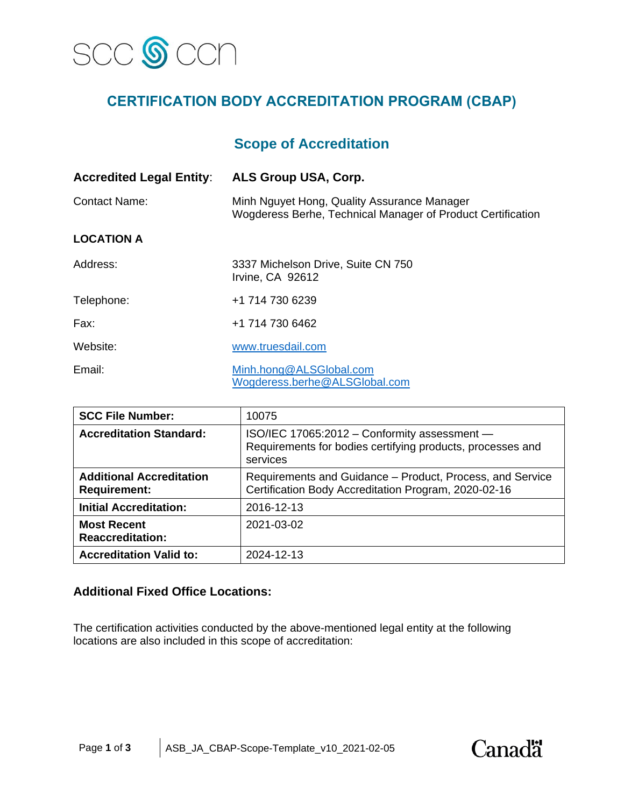

# **CERTIFICATION BODY ACCREDITATION PROGRAM (CBAP)**

## **Scope of Accreditation**

| <b>Accredited Legal Entity:</b> | ALS Group USA, Corp.                                                                                       |  |
|---------------------------------|------------------------------------------------------------------------------------------------------------|--|
| <b>Contact Name:</b>            | Minh Nguyet Hong, Quality Assurance Manager<br>Wogderess Berhe, Technical Manager of Product Certification |  |
| <b>LOCATION A</b>               |                                                                                                            |  |
| Address:                        | 3337 Michelson Drive, Suite CN 750<br>Irvine, CA 92612                                                     |  |
| Telephone:                      | +1 714 730 6239                                                                                            |  |
| Fax:                            | +1 714 730 6462                                                                                            |  |
| Website:                        | www.truesdail.com                                                                                          |  |
| Email:                          | Minh.hong@ALSGlobal.com<br>Wogderess.berhe@ALSGlobal.com                                                   |  |

| <b>SCC File Number:</b>                                | 10075                                                                                                                  |  |
|--------------------------------------------------------|------------------------------------------------------------------------------------------------------------------------|--|
| <b>Accreditation Standard:</b>                         | ISO/IEC 17065:2012 - Conformity assessment -<br>Requirements for bodies certifying products, processes and<br>services |  |
| <b>Additional Accreditation</b><br><b>Requirement:</b> | Requirements and Guidance - Product, Process, and Service<br>Certification Body Accreditation Program, 2020-02-16      |  |
| <b>Initial Accreditation:</b>                          | 2016-12-13                                                                                                             |  |
| <b>Most Recent</b><br><b>Reaccreditation:</b>          | 2021-03-02                                                                                                             |  |
| <b>Accreditation Valid to:</b>                         | 2024-12-13                                                                                                             |  |

#### **Additional Fixed Office Locations:**

The certification activities conducted by the above-mentioned legal entity at the following locations are also included in this scope of accreditation:

**Canadä**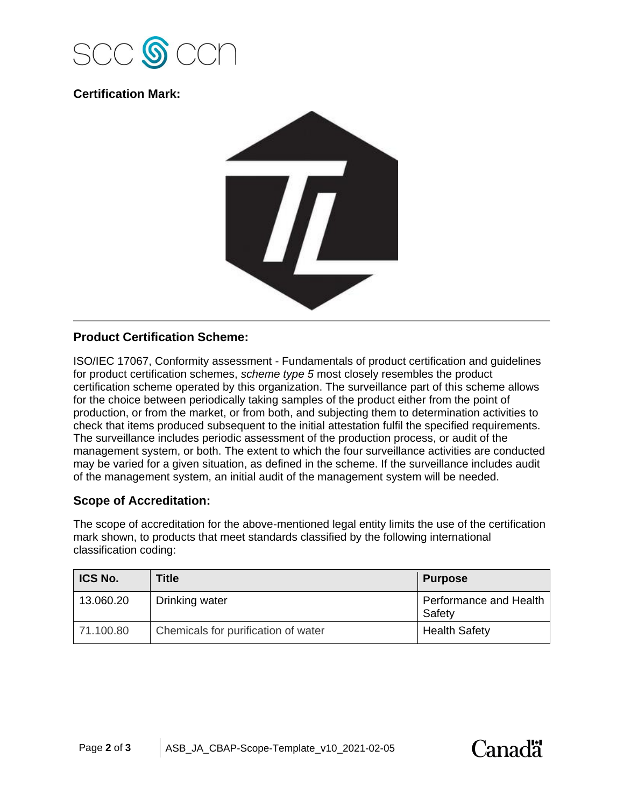

### **Certification Mark:**



### **Product Certification Scheme:**

ISO/IEC 17067, Conformity assessment - Fundamentals of product certification and guidelines for product certification schemes, *scheme type 5* most closely resembles the product certification scheme operated by this organization. The surveillance part of this scheme allows for the choice between periodically taking samples of the product either from the point of production, or from the market, or from both, and subjecting them to determination activities to check that items produced subsequent to the initial attestation fulfil the specified requirements. The surveillance includes periodic assessment of the production process, or audit of the management system, or both. The extent to which the four surveillance activities are conducted may be varied for a given situation, as defined in the scheme. If the surveillance includes audit of the management system, an initial audit of the management system will be needed.

#### **Scope of Accreditation:**

The scope of accreditation for the above-mentioned legal entity limits the use of the certification mark shown, to products that meet standards classified by the following international classification coding:

| <b>ICS No.</b> | <b>Title</b>                        | <b>Purpose</b>                   |
|----------------|-------------------------------------|----------------------------------|
| 13.060.20      | Drinking water                      | Performance and Health<br>Safety |
| 71.100.80      | Chemicals for purification of water | <b>Health Safety</b>             |